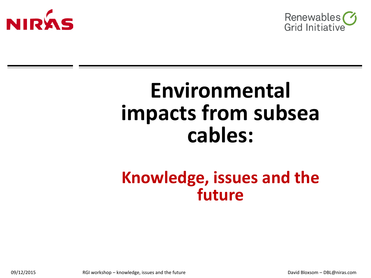



# **Environmental impacts from subsea cables:**

## **Knowledge, issues and the future**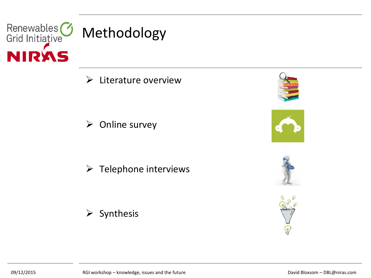

 $\triangleright$  Literature overview

 $\triangleright$  Online survey

 $\triangleright$  Telephone interviews









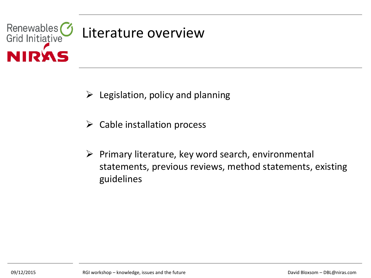

- $\triangleright$  Legislation, policy and planning
- $\triangleright$  Cable installation process
- $\triangleright$  Primary literature, key word search, environmental statements, previous reviews, method statements, existing guidelines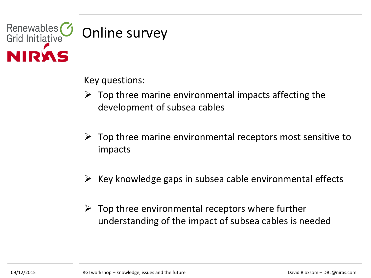

Key questions:

- $\triangleright$  Top three marine environmental impacts affecting the development of subsea cables
- $\triangleright$  Top three marine environmental receptors most sensitive to impacts
- $\triangleright$  Key knowledge gaps in subsea cable environmental effects
- $\triangleright$  Top three environmental receptors where further understanding of the impact of subsea cables is needed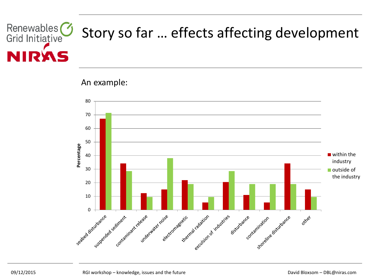#### Renewables<sup>(1)</sup> Story so far … effects affecting development Grid Initiative DV

An example:

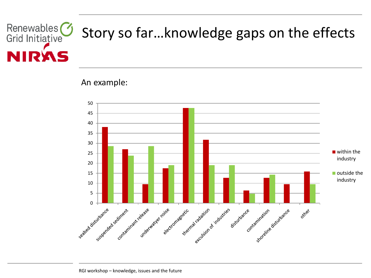#### Renewables<sup>(1)</sup> Story so far…knowledge gaps on the effects Grid Initiative DI

#### An example:

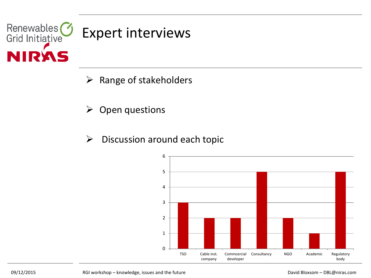

### Expert interviews

- $\triangleright$  Range of stakeholders
- $\triangleright$  Open questions
- $\triangleright$  Discussion around each topic

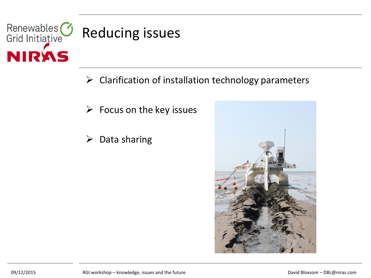

#### Reducing issues

- $\triangleright$  Clarification of installation technology parameters
- $\triangleright$  Focus on the key issues
- $\triangleright$  Data sharing

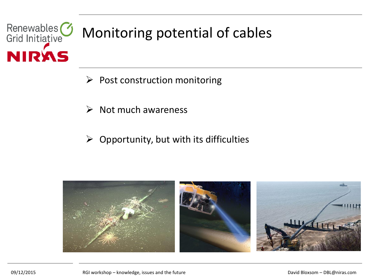### Renewables<sup>3</sup> Monitoring potential of cables **NIRAS**

- $\triangleright$  Post construction monitoring
- $\triangleright$  Not much awareness
- $\triangleright$  Opportunity, but with its difficulties

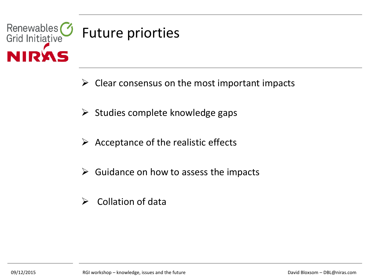

### Future priorties

- $\triangleright$  Clear consensus on the most important impacts
- $\triangleright$  Studies complete knowledge gaps
- $\triangleright$  Acceptance of the realistic effects
- $\triangleright$  Guidance on how to assess the impacts
- $\triangleright$  Collation of data